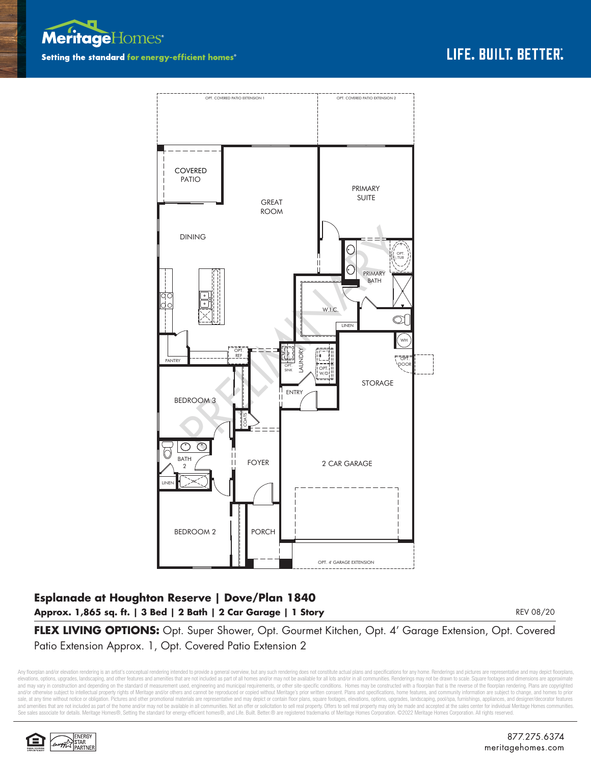



## **Esplanade at Houghton Reserve | Dove/Plan 1840 Approx. 1,865 sq. ft. | 3 Bed | 2 Bath | 2 Car Garage | 1 Story**

REV 08/20

**FLEX LIVING OPTIONS:** Opt. Super Shower, Opt. Gourmet Kitchen, Opt. 4' Garage Extension, Opt. Covered Patio Extension Approx. 1, Opt. Covered Patio Extension 2

Any floorplan and/or elevation rendering is an artist's conceptual rendering intended to provide a general overview, but any such rendering does not constitute actual plans and specifications for any home. Renderings and p elevations, options, upgrades, landscaping, and other features and amenities that are not included as part of all homes and/or may not be available for all lots and/or in all communities. Renderings may not be drawn to sca and may vary in construction and depending on the standard of measurement used, engineering and municipal requirements, or other site-specific conditions. Homes may be constructed with a floorplan that is the reverse of th and/or otherwise subject to intellectual property rights of Meritage and/or others and cannot be reproduced or copied without Meritage's prior written consent. Plans and specifications, home features, and community informa sale, at any time without notice or obligation. Pictures and other promotional materials are representative and may depict or contain floor plans, square footages, elevations, options, upgrades, landscaping, pool/spa, furn See sales associate for details. Meritage Homes®, Setting the standard for energy-efficient homes®, and Life. Built. Better.® are registered trademarks of Meritage Homes Corporation. ©2022 Meritage Homes Corporation. All r